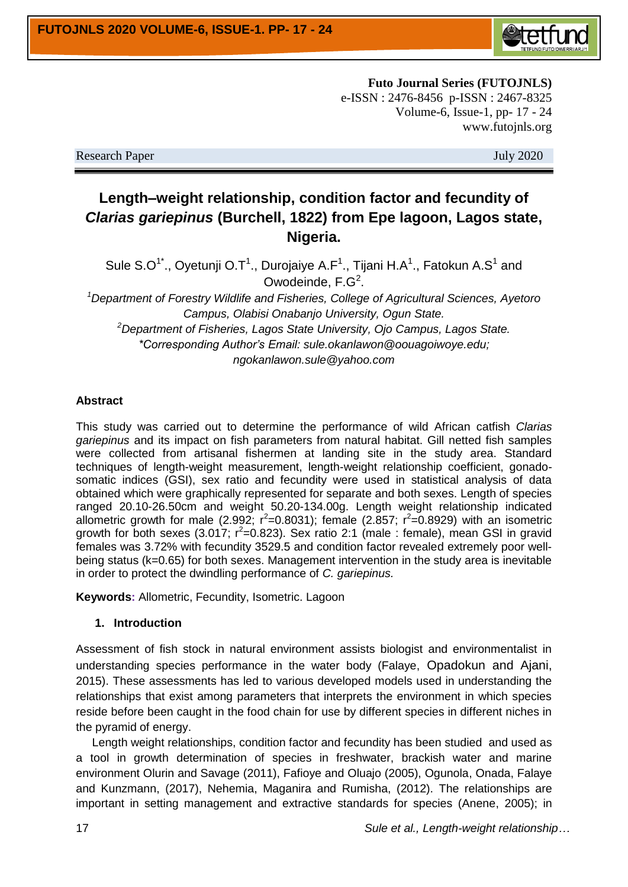

**Futo Journal Series (FUTOJNLS)** e-ISSN : 2476-8456 p-ISSN : 2467-8325 Volume-6, Issue-1, pp- 17 - 24 www.futojnls.org

Research Paper July 2020

# **Length–weight relationship, condition factor and fecundity of**  *Clarias gariepinus* **(Burchell, 1822) from Epe lagoon, Lagos state, Nigeria.**

Sule S.O<sup>1\*</sup>., Oyetunji O.T<sup>1</sup>., Durojaiye A.F<sup>1</sup>., Tijani H.A<sup>1</sup>., Fatokun A.S<sup>1</sup> and Owodeinde,  $F.G<sup>2</sup>$ .

*<sup>1</sup>Department of Forestry Wildlife and Fisheries, College of Agricultural Sciences, Ayetoro Campus, Olabisi Onabanjo University, Ogun State.*

*<sup>2</sup>Department of Fisheries, Lagos State University, Ojo Campus, Lagos State. \*Corresponding Author's Email: sule.okanlawon@oouagoiwoye.edu; ngokanlawon.sule@yahoo.com*

#### **Abstract**

This study was carried out to determine the performance of wild African catfish *Clarias gariepinus* and its impact on fish parameters from natural habitat. Gill netted fish samples were collected from artisanal fishermen at landing site in the study area. Standard techniques of length-weight measurement, length-weight relationship coefficient, gonadosomatic indices (GSI), sex ratio and fecundity were used in statistical analysis of data obtained which were graphically represented for separate and both sexes. Length of species ranged 20.10-26.50cm and weight 50.20-134.00g. Length weight relationship indicated allometric growth for male (2.992;  $r^2=0.8031$ ); female (2.857;  $r^2=0.8929$ ) with an isometric growth for both sexes (3.017;  $r^2$ =0.823). Sex ratio 2:1 (male : female), mean GSI in gravid females was 3.72% with fecundity 3529.5 and condition factor revealed extremely poor wellbeing status (k=0.65) for both sexes. Management intervention in the study area is inevitable in order to protect the dwindling performance of *C. gariepinus.*

**Keywords:** Allometric, Fecundity, Isometric. Lagoon

#### **1. Introduction**

Assessment of fish stock in natural environment assists biologist and environmentalist in understanding species performance in the water body (Falaye, Opadokun and Ajani, 2015). These assessments has led to various developed models used in understanding the relationships that exist among parameters that interprets the environment in which species reside before been caught in the food chain for use by different species in different niches in the pyramid of energy.

 Length weight relationships, condition factor and fecundity has been studied and used as a tool in growth determination of species in freshwater, brackish water and marine environment Olurin and Savage (2011), Fafioye and Oluajo (2005), Ogunola, Onada, Falaye and Kunzmann, (2017), Nehemia, Maganira and Rumisha, (2012). The relationships are important in setting management and extractive standards for species (Anene, 2005); in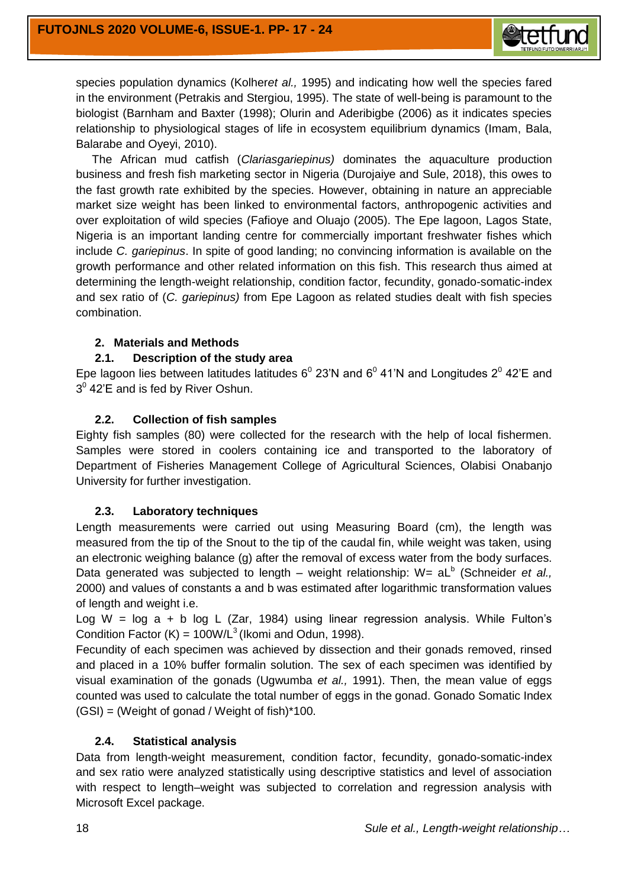

species population dynamics (Kolher*et al.,* 1995) and indicating how well the species fared in the environment (Petrakis and Stergiou, 1995). The state of well-being is paramount to the biologist (Barnham and Baxter (1998); Olurin and Aderibigbe (2006) as it indicates species relationship to physiological stages of life in ecosystem equilibrium dynamics (Imam, Bala, Balarabe and Oyeyi, 2010).

 The African mud catfish (*Clariasgariepinus)* dominates the aquaculture production business and fresh fish marketing sector in Nigeria (Durojaiye and Sule, 2018), this owes to the fast growth rate exhibited by the species. However, obtaining in nature an appreciable market size weight has been linked to environmental factors, anthropogenic activities and over exploitation of wild species (Fafioye and Oluajo (2005). The Epe lagoon, Lagos State, Nigeria is an important landing centre for commercially important freshwater fishes which include *C. gariepinus*. In spite of good landing; no convincing information is available on the growth performance and other related information on this fish. This research thus aimed at determining the length-weight relationship, condition factor, fecundity, gonado-somatic-index and sex ratio of (*C. gariepinus)* from Epe Lagoon as related studies dealt with fish species combination.

## **2. Materials and Methods**

# **2.1. Description of the study area**

Epe lagoon lies between latitudes latitudes  $6^{\circ}$  23'N and  $6^{\circ}$  41'N and Longitudes 2 $^{\circ}$  42'E and  $3^{\circ}$  42'E and is fed by River Oshun.

# **2.2. Collection of fish samples**

Eighty fish samples (80) were collected for the research with the help of local fishermen. Samples were stored in coolers containing ice and transported to the laboratory of Department of Fisheries Management College of Agricultural Sciences, Olabisi Onabanjo University for further investigation.

#### **2.3. Laboratory techniques**

Length measurements were carried out using Measuring Board (cm), the length was measured from the tip of the Snout to the tip of the caudal fin, while weight was taken, using an electronic weighing balance (g) after the removal of excess water from the body surfaces. Data generated was subjected to length – weight relationship: W= aL<sup>b</sup> (Schneider *et al.,* 2000) and values of constants a and b was estimated after logarithmic transformation values of length and weight i.e.

Log W =  $log a + b log L (Zar, 1984)$  using linear regression analysis. While Fulton's Condition Factor (K) =  $100W/L^3$  (Ikomi and Odun, 1998).

Fecundity of each specimen was achieved by dissection and their gonads removed, rinsed and placed in a 10% buffer formalin solution. The sex of each specimen was identified by visual examination of the gonads (Ugwumba *et al.,* 1991). Then, the mean value of eggs counted was used to calculate the total number of eggs in the gonad. Gonado Somatic Index  $(GSI) = (Weight of gonad / Weight of fish)*100.$ 

#### **2.4. Statistical analysis**

Data from length-weight measurement, condition factor, fecundity, gonado-somatic-index and sex ratio were analyzed statistically using descriptive statistics and level of association with respect to length–weight was subjected to correlation and regression analysis with Microsoft Excel package.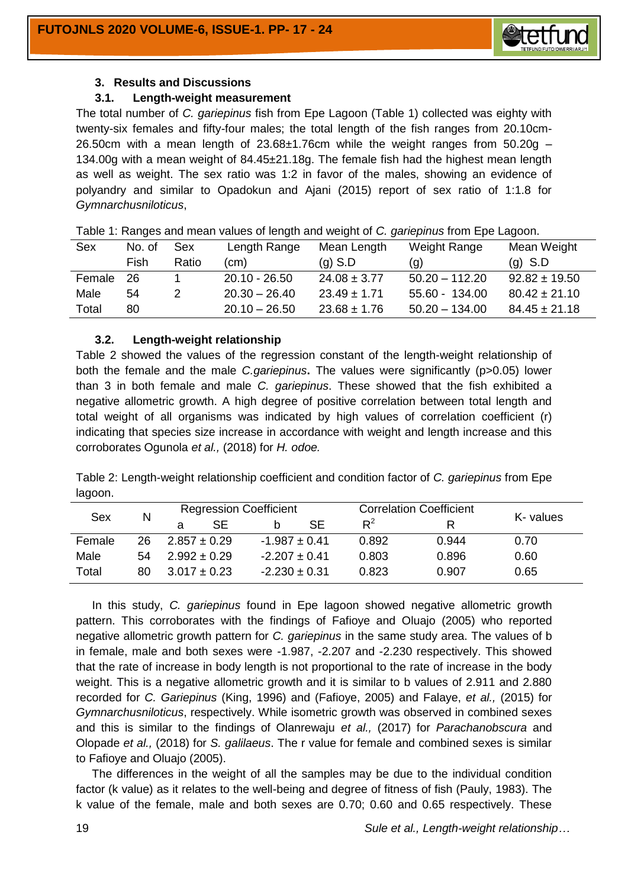

#### **3. Results and Discussions**

#### **3.1. Length-weight measurement**

The total number of *C. gariepinus* fish from Epe Lagoon (Table 1) collected was eighty with twenty-six females and fifty-four males; the total length of the fish ranges from 20.10cm-26.50cm with a mean length of  $23.68\pm1.76$ cm while the weight ranges from  $50.20g -$ 134.00g with a mean weight of 84.45±21.18g. The female fish had the highest mean length as well as weight. The sex ratio was 1:2 in favor of the males, showing an evidence of polyandry and similar to Opadokun and Ajani (2015) report of sex ratio of 1:1.8 for *Gymnarchusniloticus*,

| Sex    | No. of | <b>Sex</b> | Length Range    | Mean Length      | Weight Range      | Mean Weight       |
|--------|--------|------------|-----------------|------------------|-------------------|-------------------|
|        | Fish   | Ratio      | (cm)            | $(q)$ S.D        | $\left( q\right)$ | $(q)$ S.D         |
| Female | -26    |            | $20.10 - 26.50$ | $24.08 \pm 3.77$ | $50.20 - 112.20$  | $92.82 \pm 19.50$ |
| Male   | 54     |            | $20.30 - 26.40$ | $23.49 \pm 1.71$ | 55.60 - 134.00    | $80.42 \pm 21.10$ |
| Total  | 80     |            | $20.10 - 26.50$ | $23.68 \pm 1.76$ | $50.20 - 134.00$  | $84.45 \pm 21.18$ |

Table 1: Ranges and mean values of length and weight of *C. gariepinus* from Epe Lagoon.

#### **3.2. Length-weight relationship**

Table 2 showed the values of the regression constant of the length-weight relationship of both the female and the male *C.gariepinus***.** The values were significantly (p>0.05) lower than 3 in both female and male *C. gariepinus*. These showed that the fish exhibited a negative allometric growth. A high degree of positive correlation between total length and total weight of all organisms was indicated by high values of correlation coefficient (r) indicating that species size increase in accordance with weight and length increase and this corroborates Ogunola *et al.,* (2018) for *H. odoe.*

Table 2: Length-weight relationship coefficient and condition factor of *C. gariepinus* from Epe lagoon.

| Sex    |    | <b>Regression Coefficient</b> |     |                   |    |       | <b>Correlation Coefficient</b> |           |
|--------|----|-------------------------------|-----|-------------------|----|-------|--------------------------------|-----------|
|        | N  |                               | SE. | b                 | SE | $R^2$ |                                | K- values |
| Female | 26 | $2.857 \pm 0.29$              |     | $-1.987 \pm 0.41$ |    | 0.892 | 0.944                          | 0.70      |
| Male   | 54 | $2.992 \pm 0.29$              |     | $-2.207 \pm 0.41$ |    | 0.803 | 0.896                          | 0.60      |
| Total  | 80 | $3.017 \pm 0.23$              |     | $-2.230 \pm 0.31$ |    | 0.823 | 0.907                          | 0.65      |

 In this study, *C. gariepinus* found in Epe lagoon showed negative allometric growth pattern. This corroborates with the findings of Fafioye and Oluajo (2005) who reported negative allometric growth pattern for *C. gariepinus* in the same study area. The values of b in female, male and both sexes were -1.987, -2.207 and -2.230 respectively. This showed that the rate of increase in body length is not proportional to the rate of increase in the body weight. This is a negative allometric growth and it is similar to b values of 2.911 and 2.880 recorded for *C. Gariepinus* (King, 1996) and (Fafioye, 2005) and Falaye, *et al.,* (2015) for *Gymnarchusniloticus*, respectively. While isometric growth was observed in combined sexes and this is similar to the findings of Olanrewaju *et al.,* (2017) for *Parachanobscura* and Olopade *et al.,* (2018) for *S. galilaeus*. The r value for female and combined sexes is similar to Fafioye and Oluajo (2005).

 The differences in the weight of all the samples may be due to the individual condition factor (k value) as it relates to the well-being and degree of fitness of fish (Pauly, 1983). The k value of the female, male and both sexes are 0.70; 0.60 and 0.65 respectively. These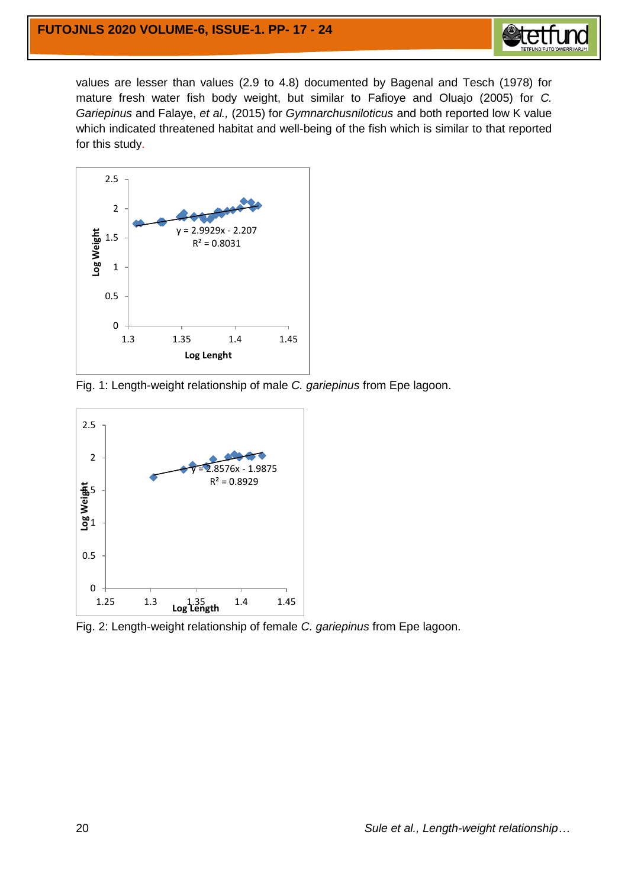

values are lesser than values (2.9 to 4.8) documented by Bagenal and Tesch (1978) for mature fresh water fish body weight, but similar to Fafioye and Oluajo (2005) for *C. Gariepinus* and Falaye, *et al.,* (2015) for *Gymnarchusniloticus* and both reported low K value which indicated threatened habitat and well-being of the fish which is similar to that reported for this study.



Fig. 1: Length-weight relationship of male *C. gariepinus* from Epe lagoon.



Fig. 2: Length-weight relationship of female *C. gariepinus* from Epe lagoon.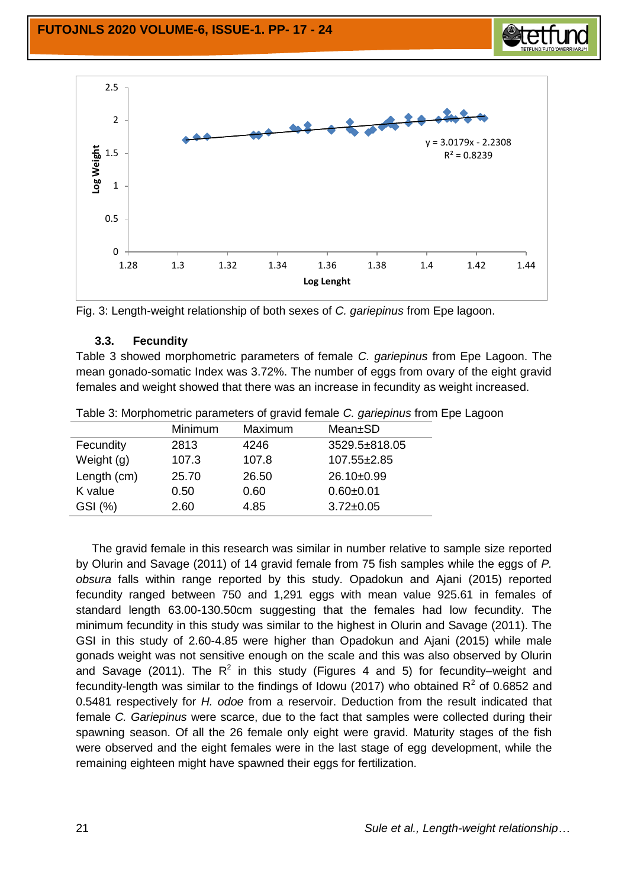



Fig. 3: Length-weight relationship of both sexes of *C. gariepinus* from Epe lagoon.

## **3.3. Fecundity**

Table 3 showed morphometric parameters of female *C. gariepinus* from Epe Lagoon. The mean gonado-somatic Index was 3.72%. The number of eggs from ovary of the eight gravid females and weight showed that there was an increase in fecundity as weight increased.

|             | Minimum | Maximum | Mean±SD         |
|-------------|---------|---------|-----------------|
| Fecundity   | 2813    | 4246    | 3529.5±818.05   |
| Weight (g)  | 107.3   | 107.8   | 107.55±2.85     |
| Length (cm) | 25.70   | 26.50   | 26.10±0.99      |
| K value     | 0.50    | 0.60    | $0.60 + 0.01$   |
| GSI (%)     | 2.60    | 4.85    | $3.72 \pm 0.05$ |
|             |         |         |                 |

Table 3: Morphometric parameters of gravid female *C. gariepinus* from Epe Lagoon

 The gravid female in this research was similar in number relative to sample size reported by Olurin and Savage (2011) of 14 gravid female from 75 fish samples while the eggs of *P. obsura* falls within range reported by this study. Opadokun and Ajani (2015) reported fecundity ranged between 750 and 1,291 eggs with mean value 925.61 in females of standard length 63.00-130.50cm suggesting that the females had low fecundity. The minimum fecundity in this study was similar to the highest in Olurin and Savage (2011). The GSI in this study of 2.60-4.85 were higher than Opadokun and Ajani (2015) while male gonads weight was not sensitive enough on the scale and this was also observed by Olurin and Savage (2011). The R<sup>2</sup> in this study (Figures 4 and 5) for fecundity–weight and fecundity-length was similar to the findings of Idowu (2017) who obtained  $R^2$  of 0.6852 and 0.5481 respectively for *H. odoe* from a reservoir. Deduction from the result indicated that female *C. Gariepinus* were scarce, due to the fact that samples were collected during their spawning season. Of all the 26 female only eight were gravid. Maturity stages of the fish were observed and the eight females were in the last stage of egg development, while the remaining eighteen might have spawned their eggs for fertilization.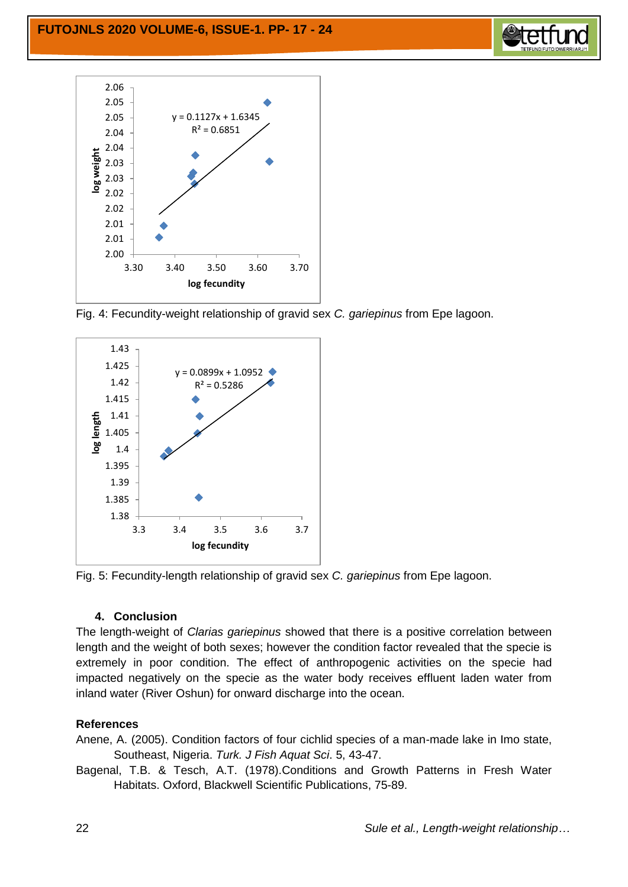



Fig. 4: Fecundity-weight relationship of gravid sex *C. gariepinus* from Epe lagoon.



Fig. 5: Fecundity-length relationship of gravid sex *C. gariepinus* from Epe lagoon.

# **4. Conclusion**

The length-weight of *Clarias gariepinus* showed that there is a positive correlation between length and the weight of both sexes; however the condition factor revealed that the specie is extremely in poor condition. The effect of anthropogenic activities on the specie had impacted negatively on the specie as the water body receives effluent laden water from inland water (River Oshun) for onward discharge into the ocean.

# **References**

Anene, A. (2005). Condition factors of four cichlid species of a man-made lake in Imo state, Southeast, Nigeria. *Turk. J Fish Aquat Sci*. 5, 43-47.

Bagenal, T.B. & Tesch, A.T. (1978).Conditions and Growth Patterns in Fresh Water Habitats. Oxford, Blackwell Scientific Publications, 75-89.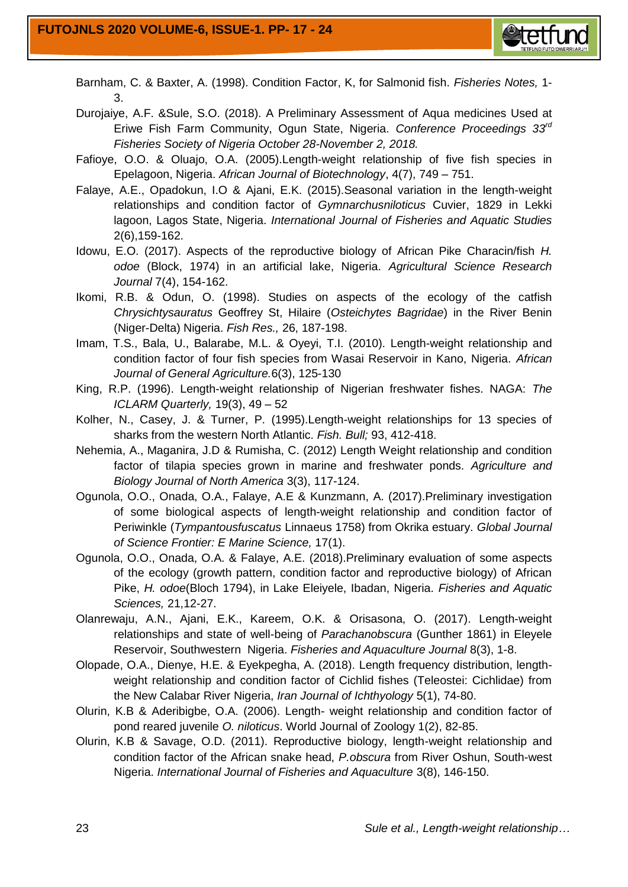

- Barnham, C. & Baxter, A. (1998). Condition Factor, K, for Salmonid fish. *Fisheries Notes,* 1- 3.
- Durojaiye, A.F. &Sule, S.O. (2018). A Preliminary Assessment of Aqua medicines Used at Eriwe Fish Farm Community, Ogun State, Nigeria. *Conference Proceedings 33rd Fisheries Society of Nigeria October 28-November 2, 2018.*
- Fafioye, O.O. & Oluajo, O.A. (2005).Length-weight relationship of five fish species in Epelagoon, Nigeria. *African Journal of Biotechnology*, 4(7), 749 – 751.
- Falaye, A.E., Opadokun, I.O & Ajani, E.K. (2015).Seasonal variation in the length-weight relationships and condition factor of *Gymnarchusniloticus* Cuvier, 1829 in Lekki lagoon, Lagos State, Nigeria. *International Journal of Fisheries and Aquatic Studies*  2(6),159-162.
- Idowu, E.O. (2017). Aspects of the reproductive biology of African Pike Characin/fish *H. odoe* (Block, 1974) in an artificial lake, Nigeria. *Agricultural Science Research Journal* 7(4), 154-162.
- Ikomi, R.B. & Odun, O. (1998). Studies on aspects of the ecology of the catfish *Chrysichtysauratus* Geoffrey St, Hilaire (*Osteichytes Bagridae*) in the River Benin (Niger-Delta) Nigeria. *Fish Res.,* 26, 187-198.
- Imam, T.S., Bala, U., Balarabe, M.L. & Oyeyi, T.I. (2010). Length-weight relationship and condition factor of four fish species from Wasai Reservoir in Kano, Nigeria. *African Journal of General Agriculture.*6(3), 125-130
- King, R.P. (1996). Length-weight relationship of Nigerian freshwater fishes. NAGA: *The ICLARM Quarterly,* 19(3), 49 – 52
- Kolher, N., Casey, J. & Turner, P. (1995).Length-weight relationships for 13 species of sharks from the western North Atlantic. *Fish. Bull;* 93, 412-418.
- Nehemia, A., Maganira, J.D & Rumisha, C. (2012) Length Weight relationship and condition factor of tilapia species grown in marine and freshwater ponds. *Agriculture and Biology Journal of North America* 3(3), 117-124.
- Ogunola, O.O., Onada, O.A., Falaye, A.E & Kunzmann, A. (2017).Preliminary investigation of some biological aspects of length-weight relationship and condition factor of Periwinkle (*Tympantousfuscatus* Linnaeus 1758) from Okrika estuary. *Global Journal of Science Frontier: E Marine Science,* 17(1).
- Ogunola, O.O., Onada, O.A. & Falaye, A.E. (2018).Preliminary evaluation of some aspects of the ecology (growth pattern, condition factor and reproductive biology) of African Pike, *H. odoe*(Bloch 1794), in Lake Eleiyele, Ibadan, Nigeria. *Fisheries and Aquatic Sciences,* 21,12-27.
- Olanrewaju, A.N., Ajani, E.K., Kareem, O.K. & Orisasona, O. (2017). Length-weight relationships and state of well-being of *Parachanobscura* (Gunther 1861) in Eleyele Reservoir, Southwestern Nigeria. *Fisheries and Aquaculture Journal* 8(3), 1-8.
- Olopade, O.A., Dienye, H.E. & Eyekpegha, A. (2018). Length frequency distribution, lengthweight relationship and condition factor of Cichlid fishes (Teleostei: Cichlidae) from the New Calabar River Nigeria, *Iran Journal of Ichthyology* 5(1), 74-80.
- Olurin, K.B & Aderibigbe, O.A. (2006). Length- weight relationship and condition factor of pond reared juvenile *O. niloticus*. World Journal of Zoology 1(2), 82-85.
- Olurin, K.B & Savage, O.D. (2011). Reproductive biology, length-weight relationship and condition factor of the African snake head, *P.obscura* from River Oshun, South-west Nigeria. *International Journal of Fisheries and Aquaculture* 3(8), 146-150.